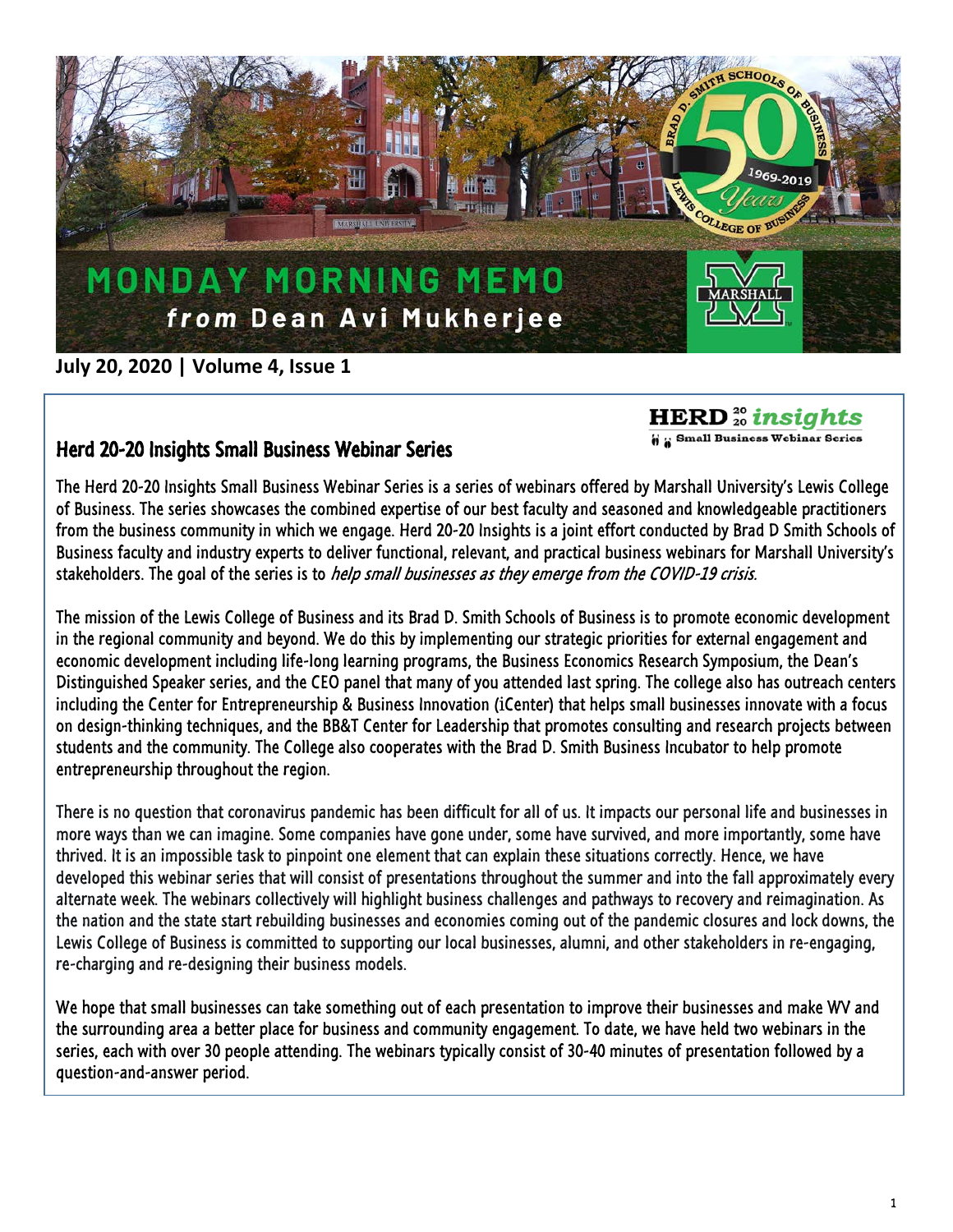

## **July 20, 2020 | Volume 4, Issue 1**

**HERD**<sup>20</sup> insights

**6 a** Small Business Webinar Series

## Herd 20-20 Insights Small Business Webinar Series

The Herd 20-20 Insights Small Business Webinar Series is a series of webinars offered by Marshall University's Lewis College of Business. The series showcases the combined expertise of our best faculty and seasoned and knowledgeable practitioners from the business community in which we engage. Herd 20-20 Insights is a joint effort conducted by Brad D Smith Schools of Business faculty and industry experts to deliver functional, relevant, and practical business webinars for Marshall University's stakeholders. The goal of the series is to *help small businesses as they emerge from the COVID-19 crisis.* 

The mission of the Lewis College of Business and its Brad D. Smith Schools of Business is to promote economic development in the regional community and beyond. We do this by implementing our strategic priorities for external engagement and economic development including life-long learning programs, the Business Economics Research Symposium, the Dean's Distinguished Speaker series, and the CEO panel that many of you attended last spring. The college also has outreach centers including the Center for Entrepreneurship & Business Innovation (*i*Center) that helps small businesses innovate with a focus on design-thinking techniques, and the BB&T Center for Leadership that promotes consulting and research projects between students and the community. The College also cooperates with the Brad D. Smith Business Incubator to help promote entrepreneurship throughout the region.

There is no question that coronavirus pandemic has been difficult for all of us. It impacts our personal life and businesses in more ways than we can imagine. Some companies have gone under, some have survived, and more importantly, some have thrived. It is an impossible task to pinpoint one element that can explain these situations correctly. Hence, we have developed this webinar series that will consist of presentations throughout the summer and into the fall approximately every alternate week. The webinars collectively will highlight business challenges and pathways to recovery and reimagination. As the nation and the state start rebuilding businesses and economies coming out of the pandemic closures and lock downs, the Lewis College of Business is committed to supporting our local businesses, alumni, and other stakeholders in re-engaging, re-charging and re-designing their business models.

We hope that small businesses can take something out of each presentation to improve their businesses and make WV and the surrounding area a better place for business and community engagement. To date, we have held two webinars in the series, each with over 30 people attending. The webinars typically consist of 30-40 minutes of presentation followed by a question-and-answer period.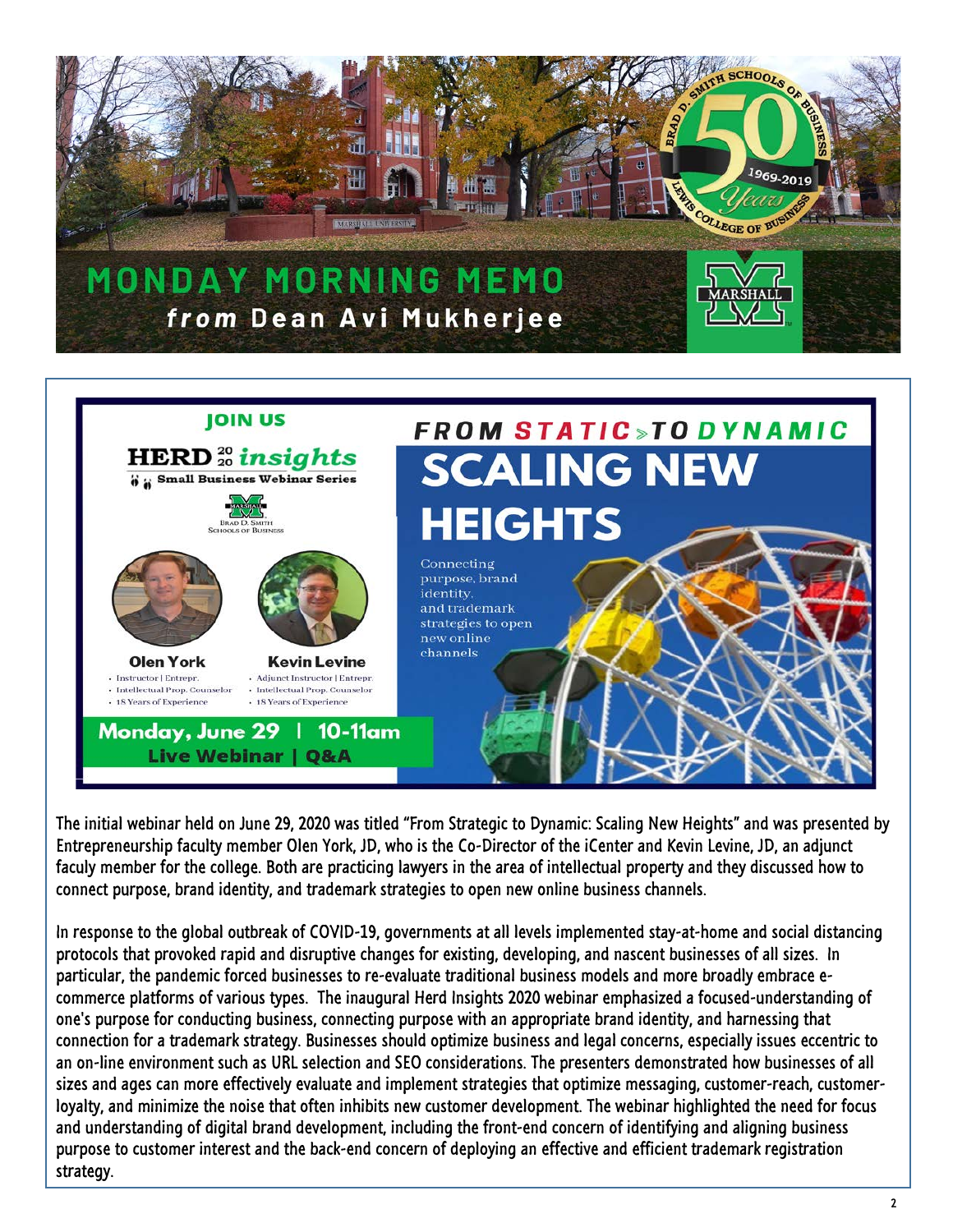

## **JOIN US FROM STATIC >TO DYNAMIC HERD**<sup>20</sup> insights **SCALING NEW 6 : Small Business Webinar Series HEIGHTS BRAD D. SMITH**<br>SCHOOLS OF BUSINESS Connecting purpose, brand identity. and trademark strategies to open new online channels **Olen York Kevin Levine** · Instructor | Entrepr. · Adjunct Instructor | Entrepr. · Intellectual Prop. Counselor · Intellectual Prop. Counselor - 18 Years of Experience • 18 Years of Experience Monday, June 29  $10-11$ am **Live Webinar | Q&A**

The initial webinar held on June 29, 2020 was titled "From Strategic to Dynamic: Scaling New Heights" and was presented by Entrepreneurship faculty member Olen York, JD, who is the Co-Director of the iCenter and Kevin Levine, JD, an adjunct faculy member for the college. Both are practicing lawyers in the area of intellectual property and they discussed how to connect purpose, brand identity, and trademark strategies to open new online business channels.

In response to the global outbreak of COVID-19, governments at all levels implemented stay-at-home and social distancing protocols that provoked rapid and disruptive changes for existing, developing, and nascent businesses of all sizes. In particular, the pandemic forced businesses to re-evaluate traditional business models and more broadly embrace ecommerce platforms of various types. The inaugural Herd Insights 2020 webinar emphasized a focused-understanding of one's purpose for conducting business, connecting purpose with an appropriate brand identity, and harnessing that connection for a trademark strategy. Businesses should optimize business and legal concerns, especially issues eccentric to an on-line environment such as URL selection and SEO considerations. The presenters demonstrated how businesses of all sizes and ages can more effectively evaluate and implement strategies that optimize messaging, customer-reach, customerloyalty, and minimize the noise that often inhibits new customer development. The webinar highlighted the need for focus and understanding of digital brand development, including the front-end concern of identifying and aligning business purpose to customer interest and the back-end concern of deploying an effective and efficient trademark registration strategy.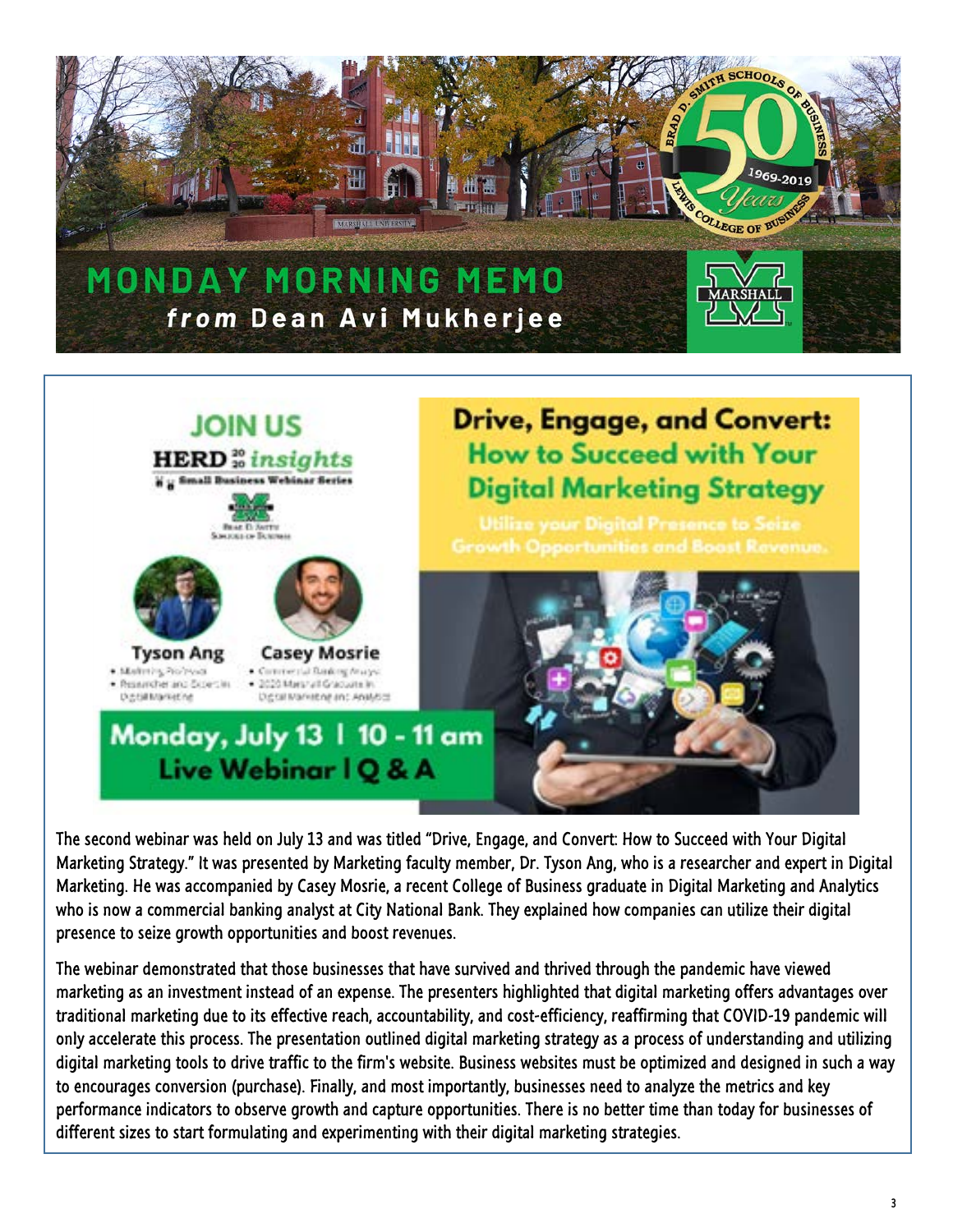



The second webinar was held on July 13 and was titled "Drive, Engage, and Convert: How to Succeed with Your Digital Marketing Strategy." It was presented by Marketing faculty member, Dr. Tyson Ang, who is a researcher and expert in Digital Marketing. He was accompanied by Casey Mosrie, a recent College of Business graduate in Digital Marketing and Analytics who is now a commercial banking analyst at City National Bank. They explained how companies can utilize their digital presence to seize growth opportunities and boost revenues.

The webinar demonstrated that those businesses that have survived and thrived through the pandemic have viewed marketing as an investment instead of an expense. The presenters highlighted that digital marketing offers advantages over traditional marketing due to its effective reach, accountability, and cost-efficiency, reaffirming that COVID-19 pandemic will only accelerate this process. The presentation outlined digital marketing strategy as a process of understanding and utilizing digital marketing tools to drive traffic to the firm's website. Business websites must be optimized and designed in such a way to encourages conversion (purchase). Finally, and most importantly, businesses need to analyze the metrics and key performance indicators to observe growth and capture opportunities. There is no better time than today for businesses of different sizes to start formulating and experimenting with their digital marketing strategies.